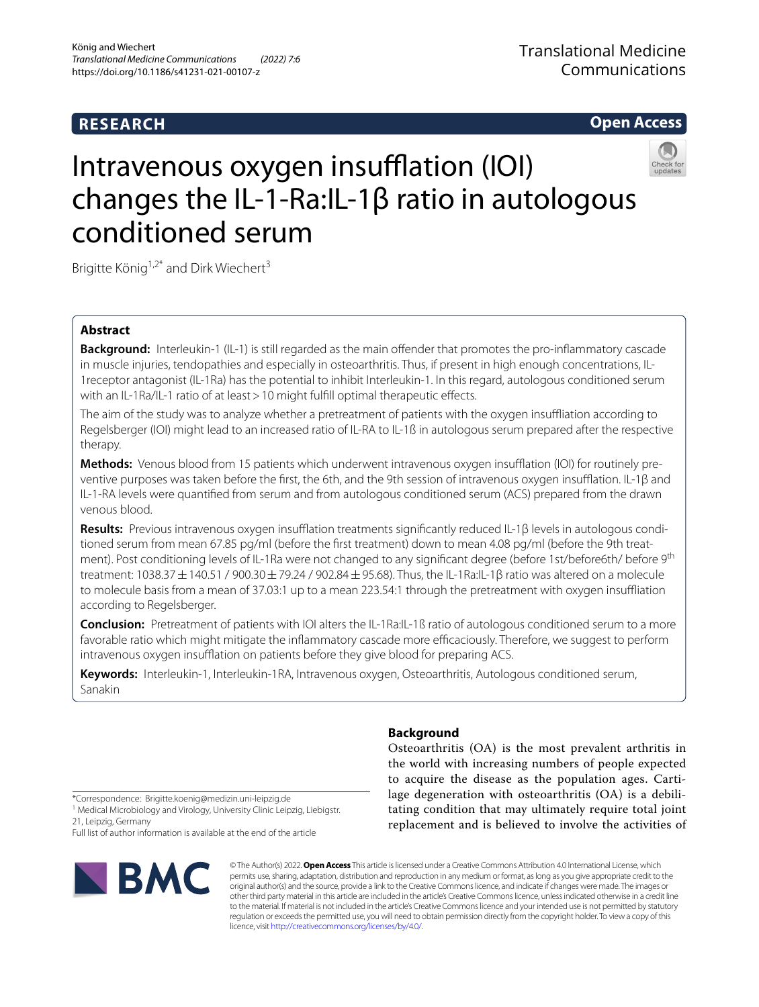# **RESEARCH**

**Open Access**

# Intravenous oxygen insufflation (IOI) changes the IL-1-Ra:IL-1β ratio in autologous conditioned serum

Brigitte König<sup>1,2\*</sup> and Dirk Wiechert<sup>3</sup>

# **Abstract**

**Background:** Interleukin-1 (IL-1) is still regarded as the main offender that promotes the pro-inflammatory cascade in muscle injuries, tendopathies and especially in osteoarthritis. Thus, if present in high enough concentrations, IL-1receptor antagonist (IL-1Ra) has the potential to inhibit Interleukin-1. In this regard, autologous conditioned serum with an IL-1Ra/IL-1 ratio of at least > 10 might fulfill optimal therapeutic effects.

The aim of the study was to analyze whether a pretreatment of patients with the oxygen insufiation according to Regelsberger (IOI) might lead to an increased ratio of IL-RA to IL-1ß in autologous serum prepared after the respective therapy.

Methods: Venous blood from 15 patients which underwent intravenous oxygen insufflation (IOI) for routinely preventive purposes was taken before the frst, the 6th, and the 9th session of intravenous oxygen insufation. IL-1β and IL-1-RA levels were quantifed from serum and from autologous conditioned serum (ACS) prepared from the drawn venous blood.

**Results:** Previous intravenous oxygen insufflation treatments significantly reduced IL-1β levels in autologous conditioned serum from mean 67.85 pg/ml (before the frst treatment) down to mean 4.08 pg/ml (before the 9th treatment). Post conditioning levels of IL-1Ra were not changed to any significant degree (before 1st/before6th/ before 9<sup>th</sup> treatment: 1038.37±140.51 / 900.30±79.24 / 902.84±95.68). Thus, the IL-1Ra:IL-1β ratio was altered on a molecule to molecule basis from a mean of 37.03:1 up to a mean 223.54:1 through the pretreatment with oxygen insufiation according to Regelsberger.

**Conclusion:** Pretreatment of patients with IOI alters the IL-1Ra:IL-1ß ratio of autologous conditioned serum to a more favorable ratio which might mitigate the inflammatory cascade more efficaciously. Therefore, we suggest to perform intravenous oxygen insufflation on patients before they give blood for preparing ACS.

**Keywords:** Interleukin-1, Interleukin-1RA, Intravenous oxygen, Osteoarthritis, Autologous conditioned serum, Sanakin

# **Background**

Osteoarthritis (OA) is the most prevalent arthritis in the world with increasing numbers of people expected to acquire the disease as the population ages. Cartilage degeneration with osteoarthritis (OA) is a debilitating condition that may ultimately require total joint replacement and is believed to involve the activities of

\*Correspondence: Brigitte.koenig@medizin.uni-leipzig.de

<sup>1</sup> Medical Microbiology and Virology, University Clinic Leipzig, Liebigstr. 21, Leipzig, Germany

Full list of author information is available at the end of the article



© The Author(s) 2022. **Open Access** This article is licensed under a Creative Commons Attribution 4.0 International License, which permits use, sharing, adaptation, distribution and reproduction in any medium or format, as long as you give appropriate credit to the original author(s) and the source, provide a link to the Creative Commons licence, and indicate if changes were made. The images or other third party material in this article are included in the article's Creative Commons licence, unless indicated otherwise in a credit line to the material. If material is not included in the article's Creative Commons licence and your intended use is not permitted by statutory regulation or exceeds the permitted use, you will need to obtain permission directly from the copyright holder. To view a copy of this licence, visit [http://creativecommons.org/licenses/by/4.0/.](http://creativecommons.org/licenses/by/4.0/)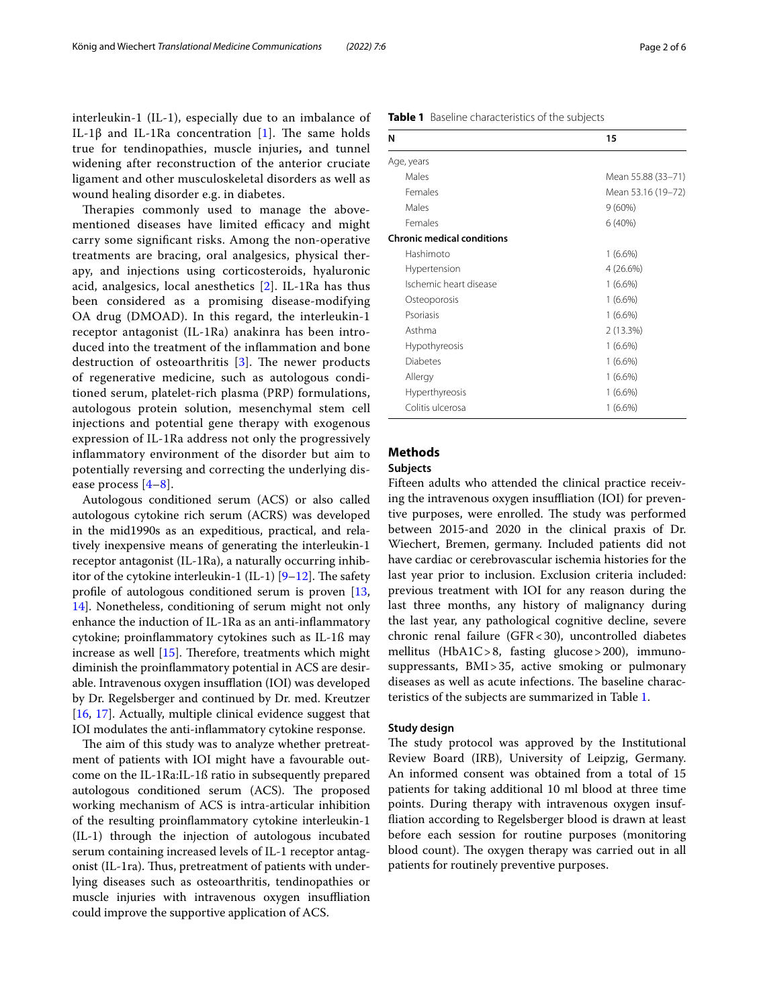interleukin-1 (IL-1), especially due to an imbalance of IL-1β and IL-1Ra concentration [[1\]](#page-4-0). The same holds true for tendinopathies, muscle injuries**,** and tunnel widening after reconstruction of the anterior cruciate ligament and other musculoskeletal disorders as well as wound healing disorder e.g. in diabetes.

Therapies commonly used to manage the abovementioned diseases have limited efficacy and might carry some signifcant risks. Among the non-operative treatments are bracing, oral analgesics, physical therapy, and injections using corticosteroids, hyaluronic acid, analgesics, local anesthetics [\[2](#page-4-1)]. IL-1Ra has thus been considered as a promising disease-modifying OA drug (DMOAD). In this regard, the interleukin-1 receptor antagonist (IL-1Ra) anakinra has been introduced into the treatment of the infammation and bone destruction of osteoarthritis  $[3]$  $[3]$ . The newer products of regenerative medicine, such as autologous conditioned serum, platelet-rich plasma (PRP) formulations, autologous protein solution, mesenchymal stem cell injections and potential gene therapy with exogenous expression of IL-1Ra address not only the progressively infammatory environment of the disorder but aim to potentially reversing and correcting the underlying disease process [[4–](#page-5-1)[8\]](#page-5-2).

Autologous conditioned serum (ACS) or also called autologous cytokine rich serum (ACRS) was developed in the mid1990s as an expeditious, practical, and relatively inexpensive means of generating the interleukin-1 receptor antagonist (IL-1Ra), a naturally occurring inhibitor of the cytokine interleukin-1 (IL-1)  $[9-12]$  $[9-12]$ . The safety profle of autologous conditioned serum is proven [\[13](#page-5-5), [14\]](#page-5-6). Nonetheless, conditioning of serum might not only enhance the induction of IL-1Ra as an anti-infammatory cytokine; proinfammatory cytokines such as IL-1ß may increase as well  $[15]$  $[15]$ . Therefore, treatments which might diminish the proinfammatory potential in ACS are desirable. Intravenous oxygen insufflation (IOI) was developed by Dr. Regelsberger and continued by Dr. med. Kreutzer [[16,](#page-5-8) [17\]](#page-5-9). Actually, multiple clinical evidence suggest that IOI modulates the anti-infammatory cytokine response.

The aim of this study was to analyze whether pretreatment of patients with IOI might have a favourable outcome on the IL-1Ra:IL-1ß ratio in subsequently prepared autologous conditioned serum (ACS). The proposed working mechanism of ACS is intra-articular inhibition of the resulting proinfammatory cytokine interleukin-1 (IL-1) through the injection of autologous incubated serum containing increased levels of IL-1 receptor antagonist (IL-1ra). Thus, pretreatment of patients with underlying diseases such as osteoarthritis, tendinopathies or muscle injuries with intravenous oxygen insufiation could improve the supportive application of ACS.

<span id="page-1-0"></span>

| Table 1 Baseline characteristics of the subjects |
|--------------------------------------------------|
|--------------------------------------------------|

| N                                 | 15                 |  |  |  |  |  |
|-----------------------------------|--------------------|--|--|--|--|--|
| Age, years                        |                    |  |  |  |  |  |
| Males                             | Mean 55.88 (33-71) |  |  |  |  |  |
| Females                           | Mean 53.16 (19-72) |  |  |  |  |  |
| Males                             | $9(60\%)$          |  |  |  |  |  |
| Females                           | 6(40%)             |  |  |  |  |  |
| <b>Chronic medical conditions</b> |                    |  |  |  |  |  |
| Hashimoto                         | $1(6.6\%)$         |  |  |  |  |  |
| Hypertension                      | 4(26.6%)           |  |  |  |  |  |
| Ischemic heart disease            | $1(6.6\%)$         |  |  |  |  |  |
| Osteoporosis                      | $1(6.6\%)$         |  |  |  |  |  |
| Psoriasis                         | $1(6.6\%)$         |  |  |  |  |  |
| Asthma                            | 2(13.3%)           |  |  |  |  |  |
| Hypothyreosis                     | $1(6.6\%)$         |  |  |  |  |  |
| Diabetes                          | $1(6.6\%)$         |  |  |  |  |  |
| Allergy                           | $1(6.6\%)$         |  |  |  |  |  |
| Hyperthyreosis                    | $1(6.6\%)$         |  |  |  |  |  |
| Colitis ulcerosa                  | $1(6.6\%)$         |  |  |  |  |  |

# **Methods**

## **Subjects**

Fifteen adults who attended the clinical practice receiving the intravenous oxygen insufiation (IOI) for preventive purposes, were enrolled. The study was performed between 2015-and 2020 in the clinical praxis of Dr. Wiechert, Bremen, germany. Included patients did not have cardiac or cerebrovascular ischemia histories for the last year prior to inclusion. Exclusion criteria included: previous treatment with IOI for any reason during the last three months, any history of malignancy during the last year, any pathological cognitive decline, severe chronic renal failure (GFR<30), uncontrolled diabetes mellitus (HbA1C>8, fasting glucose>200), immunosuppressants, BMI>35, active smoking or pulmonary diseases as well as acute infections. The baseline characteristics of the subjects are summarized in Table [1](#page-1-0).

#### **Study design**

The study protocol was approved by the Institutional Review Board (IRB), University of Leipzig, Germany. An informed consent was obtained from a total of 15 patients for taking additional 10 ml blood at three time points. During therapy with intravenous oxygen insuffiation according to Regelsberger blood is drawn at least before each session for routine purposes (monitoring blood count). The oxygen therapy was carried out in all patients for routinely preventive purposes.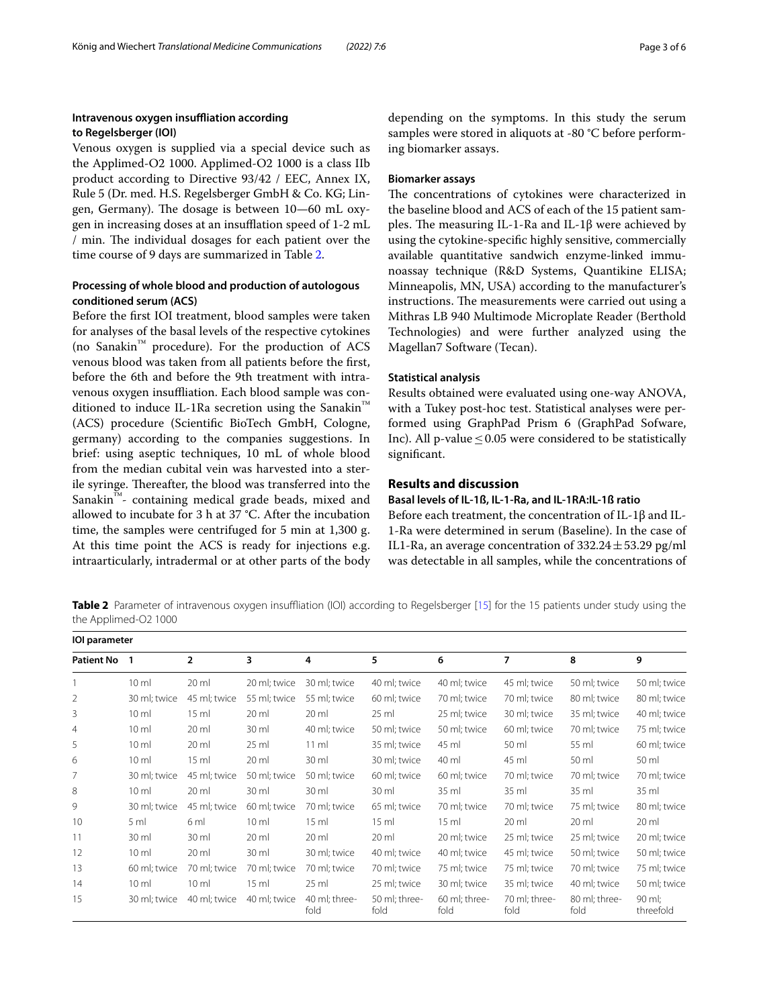# **Intravenous oxygen insufiation according to Regelsberger (IOI)**

Venous oxygen is supplied via a special device such as the Applimed-O2 1000. Applimed-O2 1000 is a class IIb product according to Directive 93/42 / EEC, Annex IX, Rule 5 (Dr. med. H.S. Regelsberger GmbH & Co. KG; Lingen, Germany). The dosage is between 10–60 mL oxygen in increasing doses at an insufflation speed of 1-2 mL / min. The individual dosages for each patient over the time course of 9 days are summarized in Table [2.](#page-2-0)

# **Processing of whole blood and production of autologous conditioned serum (ACS)**

Before the frst IOI treatment, blood samples were taken for analyses of the basal levels of the respective cytokines (no Sanakin™ procedure). For the production of ACS venous blood was taken from all patients before the frst, before the 6th and before the 9th treatment with intravenous oxygen insufiation. Each blood sample was conditioned to induce IL-1Ra secretion using the Sanakin™ (ACS) procedure (Scientifc BioTech GmbH, Cologne, germany) according to the companies suggestions. In brief: using aseptic techniques, 10 mL of whole blood from the median cubital vein was harvested into a sterile syringe. Thereafter, the blood was transferred into the Sanakin™- containing medical grade beads, mixed and allowed to incubate for 3 h at 37 °C. After the incubation time, the samples were centrifuged for 5 min at 1,300 g. At this time point the ACS is ready for injections e.g. intraarticularly, intradermal or at other parts of the body depending on the symptoms. In this study the serum samples were stored in aliquots at -80 °C before performing biomarker assays.

## **Biomarker assays**

The concentrations of cytokines were characterized in the baseline blood and ACS of each of the 15 patient samples. The measuring IL-1-Ra and IL-1β were achieved by using the cytokine-specifc highly sensitive, commercially available quantitative sandwich enzyme-linked immunoassay technique (R&D Systems, Quantikine ELISA; Minneapolis, MN, USA) according to the manufacturer's instructions. The measurements were carried out using a Mithras LB 940 Multimode Microplate Reader (Berthold Technologies) and were further analyzed using the Magellan7 Software (Tecan).

## **Statistical analysis**

Results obtained were evaluated using one-way ANOVA, with a Tukey post-hoc test. Statistical analyses were performed using GraphPad Prism 6 (GraphPad Sofware, Inc). All p-value  $\leq$  0.05 were considered to be statistically significant.

# **Results and discussion**

### **Basal levels of IL‑1ß, IL‑1‑Ra, and IL‑1RA:IL‑1ß ratio**

Before each treatment, the concentration of IL-1β and IL-1-Ra were determined in serum (Baseline). In the case of IL1-Ra, an average concentration of  $332.24 \pm 53.29$  pg/ml was detectable in all samples, while the concentrations of

<span id="page-2-0"></span>**Table 2** Parameter of intravenous oxygen insuffliation (IOI) according to Regelsberger [[15\]](#page-5-7) for the 15 patients under study using the the Applimed-O2 1000

| <b>IOI</b> parameter |                 |                 |                 |                       |                       |                       |                       |                       |                     |  |
|----------------------|-----------------|-----------------|-----------------|-----------------------|-----------------------|-----------------------|-----------------------|-----------------------|---------------------|--|
| <b>Patient No</b>    |                 | $\overline{2}$  | 3               | 4                     | 5                     | 6                     | $\overline{7}$        | 8                     | 9                   |  |
|                      | $10 \mathrm{m}$ | 20 ml           | 20 ml; twice    | 30 ml; twice          | 40 ml; twice          | 40 ml; twice          | 45 ml; twice          | 50 ml; twice          | 50 ml; twice        |  |
| 2                    | 30 ml; twice    | 45 ml; twice    | 55 ml; twice    | 55 ml; twice          | 60 ml; twice          | 70 ml; twice          | 70 ml; twice          | 80 ml; twice          | 80 ml; twice        |  |
| 3                    | $10 \mathrm{m}$ | $15 \text{ ml}$ | $20 \mathrm{m}$ | $20 \mathrm{m}$       | $25 \mathrm{ml}$      | 25 ml; twice          | 30 ml; twice          | 35 ml; twice          | 40 ml; twice        |  |
| $\overline{4}$       | $10 \mathrm{m}$ | $20$ ml         | 30 ml           | 40 ml; twice          | 50 ml; twice          | 50 ml; twice          | 60 ml; twice          | 70 ml; twice          | 75 ml; twice        |  |
| 5                    | $10 \mathrm{m}$ | $20$ ml         | $25$ ml         | $11 \mathrm{m}$       | 35 ml; twice          | 45 ml                 | 50 ml                 | 55 ml                 | 60 ml; twice        |  |
| 6                    | 10 <sub>m</sub> | $15 \text{ ml}$ | $20 \mathrm{m}$ | 30 ml                 | 30 ml; twice          | 40 ml                 | 45 ml                 | 50 ml                 | 50 ml               |  |
|                      | 30 ml; twice    | 45 ml: twice    | 50 ml; twice    | 50 ml; twice          | 60 ml; twice          | 60 ml; twice          | 70 ml: twice          | 70 ml; twice          | 70 ml; twice        |  |
| 8                    | 10 <sub>m</sub> | 20 ml           | 30 ml           | 30 ml                 | $30$ ml               | 35 ml                 | 35 ml                 | $35$ ml               | 35 ml               |  |
| 9                    | 30 ml; twice    | 45 ml; twice    | 60 ml; twice    | 70 ml; twice          | 65 ml; twice          | 70 ml; twice          | 70 ml; twice          | 75 ml; twice          | 80 ml; twice        |  |
| 10                   | 5 ml            | 6 ml            | $10 \mathrm{m}$ | $15 \text{ ml}$       | $15 \text{ ml}$       | $15 \text{ ml}$       | $20 \mathrm{m}$       | $20 \mathrm{m}$       | $20 \mathrm{m}$     |  |
| 11                   | 30 ml           | 30 ml           | $20 \mathrm{m}$ | 20 ml                 | $20$ ml               | 20 ml; twice          | 25 ml; twice          | 25 ml; twice          | 20 ml; twice        |  |
| 12                   | 10 <sub>m</sub> | $20 \mathrm{m}$ | 30 ml           | 30 ml; twice          | 40 ml; twice          | 40 ml; twice          | 45 ml; twice          | 50 ml; twice          | 50 ml; twice        |  |
| 13                   | 60 ml; twice    | 70 ml; twice    | 70 ml; twice    | 70 ml; twice          | 70 ml; twice          | 75 ml; twice          | 75 ml; twice          | 70 ml; twice          | 75 ml; twice        |  |
| 14                   | 10 <sub>m</sub> | $10 \mathrm{m}$ | 15 <sub>m</sub> | $25 \text{ ml}$       | 25 ml; twice          | 30 ml; twice          | 35 ml; twice          | 40 ml; twice          | 50 ml; twice        |  |
| 15                   | 30 ml; twice    | 40 ml; twice    | 40 ml; twice    | 40 ml; three-<br>fold | 50 ml; three-<br>fold | 60 ml; three-<br>fold | 70 ml; three-<br>fold | 80 ml; three-<br>fold | 90 ml;<br>threefold |  |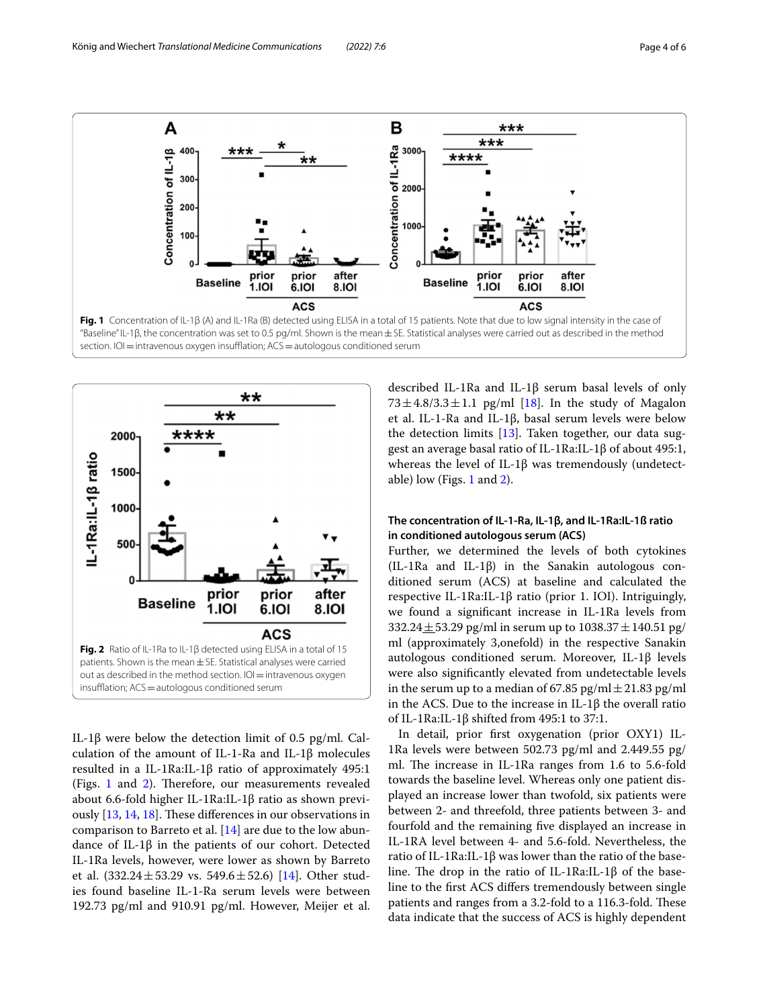

<span id="page-3-0"></span>

<span id="page-3-1"></span>IL-1β were below the detection limit of 0.5 pg/ml. Calculation of the amount of IL-1-Ra and IL-1β molecules resulted in a IL-1Ra:IL-1β ratio of approximately 495:1 (Figs.  $1$  and  $2$ ). Therefore, our measurements revealed about 6.6-fold higher IL-1Ra:IL-1β ratio as shown previously  $[13, 14, 18]$  $[13, 14, 18]$  $[13, 14, 18]$  $[13, 14, 18]$  $[13, 14, 18]$ . These differences in our observations in comparison to Barreto et al. [\[14\]](#page-5-6) are due to the low abundance of IL-1β in the patients of our cohort. Detected IL-1Ra levels, however, were lower as shown by Barreto et al.  $(332.24 \pm 53.29 \text{ vs. } 549.6 \pm 52.6)$  [[14](#page-5-6)]. Other studies found baseline IL-1-Ra serum levels were between 192.73 pg/ml and 910.91 pg/ml. However, Meijer et al. described IL-1Ra and IL-1β serum basal levels of only  $73 \pm 4.8/3.3 \pm 1.1$  pg/ml [[18](#page-5-10)]. In the study of Magalon et al. IL-1-Ra and IL-1β, basal serum levels were below the detection limits [\[13](#page-5-5)]. Taken together, our data suggest an average basal ratio of IL-1Ra:IL-1β of about 495:1, whereas the level of IL-1β was tremendously (undetect-able) low (Figs. [1](#page-3-0) and [2\)](#page-3-1).

# **The concentration of IL‑1‑Ra, IL‑1β, and IL‑1Ra:IL‑1ß ratio in conditioned autologous serum (ACS)**

Further, we determined the levels of both cytokines (IL-1Ra and IL-1β) in the Sanakin autologous conditioned serum (ACS) at baseline and calculated the respective IL-1Ra:IL-1β ratio (prior 1. IOI). Intriguingly, we found a signifcant increase in IL-1Ra levels from  $332.24 \pm 53.29$  pg/ml in serum up to  $1038.37 \pm 140.51$  pg/ ml (approximately 3,onefold) in the respective Sanakin autologous conditioned serum. Moreover, IL-1β levels were also signifcantly elevated from undetectable levels in the serum up to a median of 67.85 pg/ml  $\pm$  21.83 pg/ml in the ACS. Due to the increase in IL-1β the overall ratio of IL-1Ra:IL-1β shifted from 495:1 to 37:1.

In detail, prior frst oxygenation (prior OXY1) IL-1Ra levels were between 502.73 pg/ml and 2.449.55 pg/ ml. The increase in IL-1Ra ranges from 1.6 to 5.6-fold towards the baseline level. Whereas only one patient displayed an increase lower than twofold, six patients were between 2- and threefold, three patients between 3- and fourfold and the remaining fve displayed an increase in IL-1RA level between 4- and 5.6-fold. Nevertheless, the ratio of IL-1Ra:IL-1β was lower than the ratio of the baseline. The drop in the ratio of IL-1Ra:IL-1 $\beta$  of the baseline to the frst ACS difers tremendously between single patients and ranges from a 3.2-fold to a 116.3-fold. These data indicate that the success of ACS is highly dependent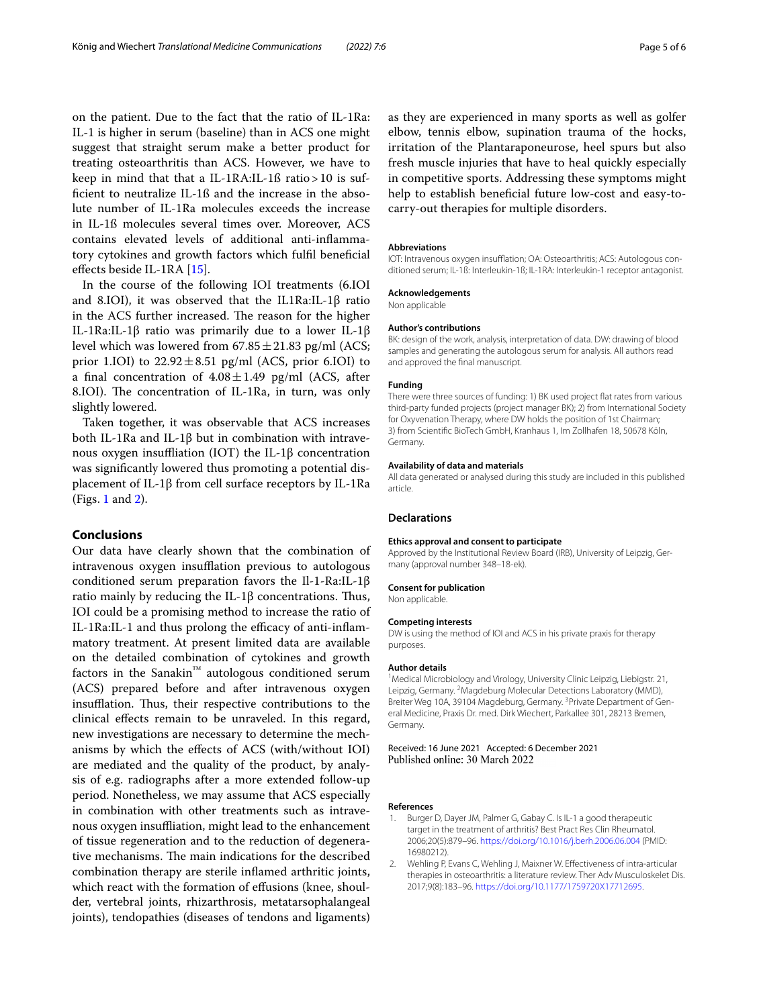on the patient. Due to the fact that the ratio of IL-1Ra: IL-1 is higher in serum (baseline) than in ACS one might suggest that straight serum make a better product for treating osteoarthritis than ACS. However, we have to keep in mind that that a IL-1RA:IL-1ß ratio>10 is suffcient to neutralize IL-1ß and the increase in the absolute number of IL-1Ra molecules exceeds the increase in IL-1ß molecules several times over. Moreover, ACS contains elevated levels of additional anti-infammatory cytokines and growth factors which fulfl benefcial efects beside IL-1RA [[15\]](#page-5-7).

In the course of the following IOI treatments (6.IOI and 8.IOI), it was observed that the IL1Ra:IL-1 $\beta$  ratio in the ACS further increased. The reason for the higher IL-1Ra:IL-1β ratio was primarily due to a lower IL-1β level which was lowered from  $67.85 \pm 21.83$  pg/ml (ACS; prior 1.IOI) to  $22.92 \pm 8.51$  pg/ml (ACS, prior 6.IOI) to a final concentration of  $4.08 \pm 1.49$  pg/ml (ACS, after 8.IOI). The concentration of IL-1Ra, in turn, was only slightly lowered.

Taken together, it was observable that ACS increases both IL-1Ra and IL-1β but in combination with intravenous oxygen insuffliation (IOT) the IL-1β concentration was signifcantly lowered thus promoting a potential displacement of IL-1β from cell surface receptors by IL-1Ra (Figs. [1](#page-3-0) and [2\)](#page-3-1).

## **Conclusions**

Our data have clearly shown that the combination of intravenous oxygen insufflation previous to autologous conditioned serum preparation favors the Il-1-Ra:IL-1β ratio mainly by reducing the IL-1 $\beta$  concentrations. Thus, IOI could be a promising method to increase the ratio of  $IL-1Ra:IL-1$  and thus prolong the efficacy of anti-inflammatory treatment. At present limited data are available on the detailed combination of cytokines and growth factors in the Sanakin<sup>™</sup> autologous conditioned serum (ACS) prepared before and after intravenous oxygen insufflation. Thus, their respective contributions to the clinical efects remain to be unraveled. In this regard, new investigations are necessary to determine the mechanisms by which the efects of ACS (with/without IOI) are mediated and the quality of the product, by analysis of e.g. radiographs after a more extended follow-up period. Nonetheless, we may assume that ACS especially in combination with other treatments such as intravenous oxygen insufiation, might lead to the enhancement of tissue regeneration and to the reduction of degenerative mechanisms. The main indications for the described combination therapy are sterile infamed arthritic joints, which react with the formation of effusions (knee, shoulder, vertebral joints, rhizarthrosis, metatarsophalangeal joints), tendopathies (diseases of tendons and ligaments)

as they are experienced in many sports as well as golfer elbow, tennis elbow, supination trauma of the hocks, irritation of the Plantaraponeurose, heel spurs but also fresh muscle injuries that have to heal quickly especially in competitive sports. Addressing these symptoms might help to establish beneficial future low-cost and easy-tocarry-out therapies for multiple disorders.

#### **Abbreviations**

IOT: Intravenous oxygen insufflation: OA: Osteoarthritis: ACS: Autologous conditioned serum; IL-1ß: Interleukin-1ß; IL-1RA: Interleukin-1 receptor antagonist.

# **Acknowledgements**

Non applicable

#### **Author's contributions**

BK: design of the work, analysis, interpretation of data. DW: drawing of blood samples and generating the autologous serum for analysis. All authors read and approved the fnal manuscript.

#### **Funding**

There were three sources of funding: 1) BK used project fat rates from various third-party funded projects (project manager BK); 2) from International Society for Oxyvenation Therapy, where DW holds the position of 1st Chairman; 3) from Scientifc BioTech GmbH, Kranhaus 1, Im Zollhafen 18, 50678 Köln, Germany.

#### **Availability of data and materials**

All data generated or analysed during this study are included in this published article.

#### **Declarations**

#### **Ethics approval and consent to participate**

Approved by the Institutional Review Board (IRB), University of Leipzig, Germany (approval number 348–18-ek).

#### **Consent for publication** Non applicable.

#### **Competing interests**

DW is using the method of IOI and ACS in his private praxis for therapy purposes.

#### **Author details**

<sup>1</sup> Medical Microbiology and Virology, University Clinic Leipzig, Liebigstr. 21, Leipzig, Germany. <sup>2</sup> Magdeburg Molecular Detections Laboratory (MMD), Breiter Weg 10A, 39104 Magdeburg, Germany. <sup>3</sup> Private Department of General Medicine, Praxis Dr. med. Dirk Wiechert, Parkallee 301, 28213 Bremen, Germany.

Received: 16 June 2021 Accepted: 6 December 2021 Published online: 30 March 2022

#### **References**

- <span id="page-4-0"></span>Burger D, Dayer JM, Palmer G, Gabay C. Is IL-1 a good therapeutic target in the treatment of arthritis? Best Pract Res Clin Rheumatol. 2006;20(5):879–96. <https://doi.org/10.1016/j.berh.2006.06.004>(PMID: 16980212).
- <span id="page-4-1"></span>2. Wehling P, Evans C, Wehling J, Maixner W. Efectiveness of intra-articular therapies in osteoarthritis: a literature review. Ther Adv Musculoskelet Dis. 2017;9(8):183–96.<https://doi.org/10.1177/1759720X17712695>.